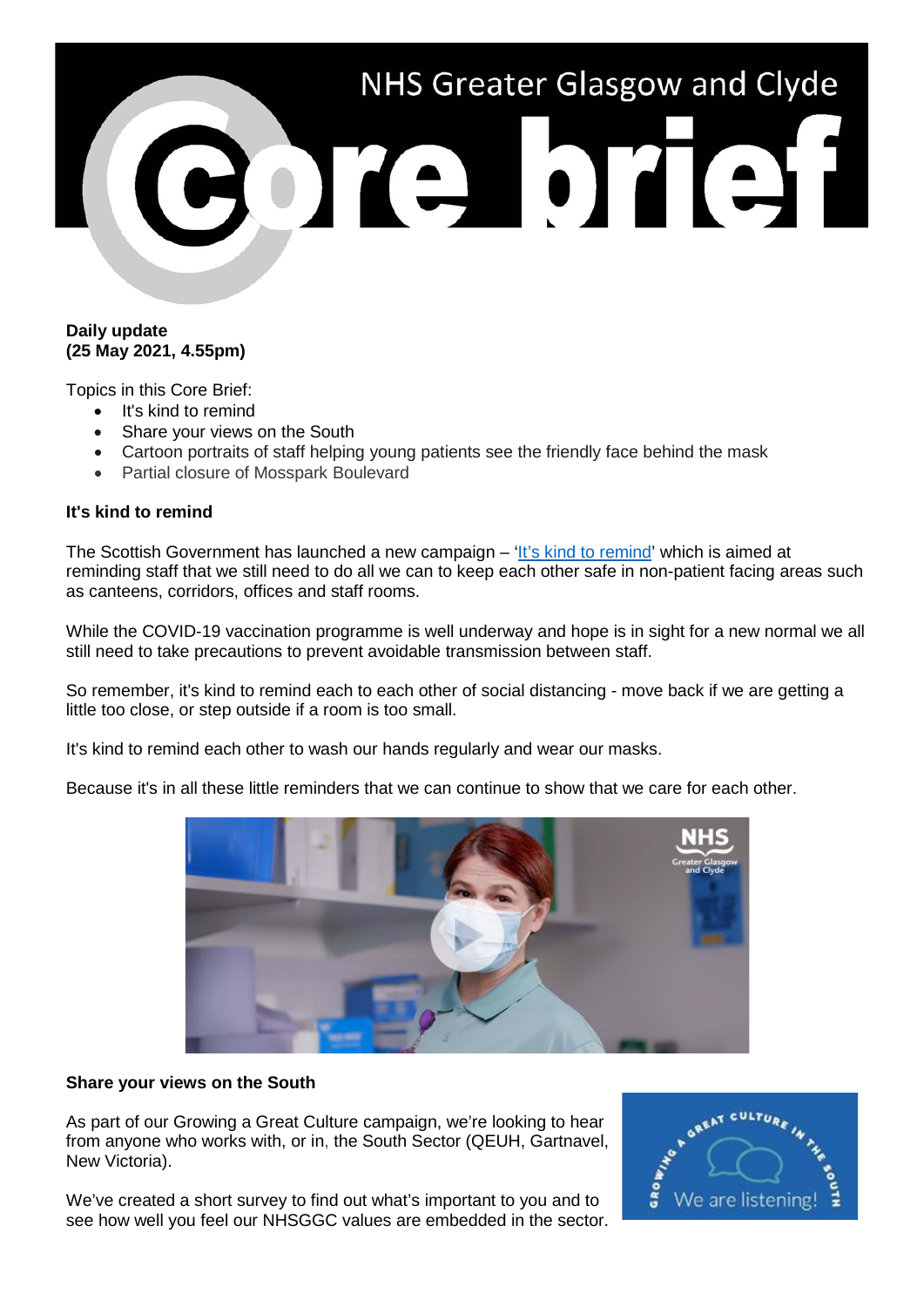

# **Daily update (25 May 2021, 4.55pm)**

Topics in this Core Brief:

- It's kind to remind
- Share your views on the South
- Cartoon portraits of staff helping young patients see the friendly face behind the mask
- Partial closure of Mosspark Boulevard

# **It's kind to remind**

The Scottish Government has launched a new campaign – ['It's kind to remind'](https://www.youtube.com/watch?v=_wRcrICiHj0) which is aimed at reminding staff that we still need to do all we can to keep each other safe in non-patient facing areas such as canteens, corridors, offices and staff rooms.

While the COVID-19 vaccination programme is well underway and hope is in sight for a new normal we all still need to take precautions to prevent avoidable transmission between staff.

So remember, it's kind to remind each to each other of social distancing - move back if we are getting a little too close, or step outside if a room is too small.

It's kind to remind each other to wash our hands regularly and wear our masks.

Because it's in all these little reminders that we can continue to show that we care for each other.



# **Share your views on the South**

As part of our Growing a Great Culture campaign, we're looking to hear from anyone who works with, or in, the South Sector (QEUH, Gartnavel, New Victoria).

We've created a short survey to find out what's important to you and to see how well you feel our NHSGGC values are embedded in the sector.